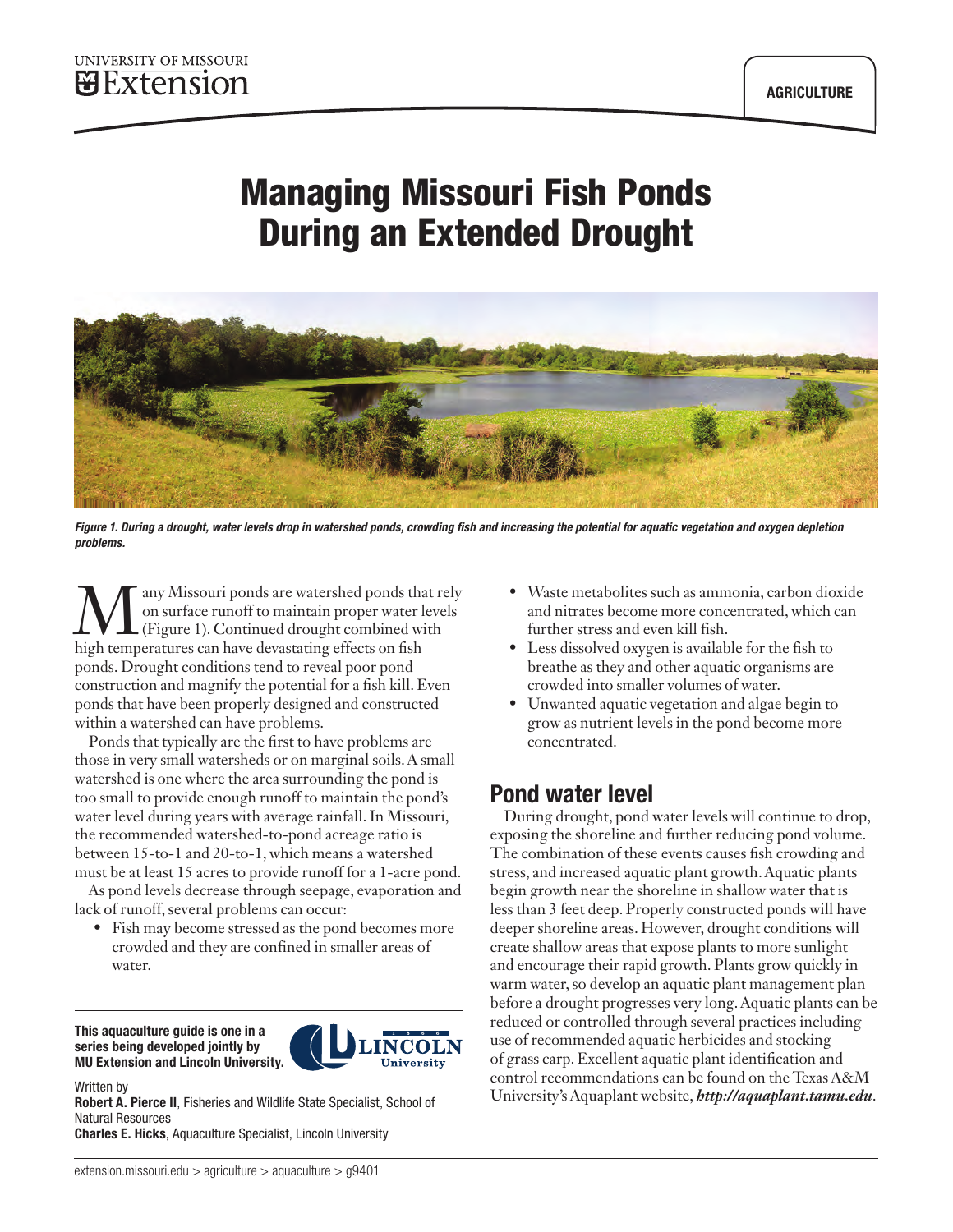# Managing Missouri Fish Ponds During an Extended Drought



*Figure 1. During a drought, water levels drop in watershed ponds, crowding fish and increasing the potential for aquatic vegetation and oxygen depletion problems.*

any Missouri ponds are watershed ponds that rely on surface runoff to maintain proper water levels (Figure 1). Continued drought combined with high temperatures can have devastating effects on fish ponds. Drought conditions tend to reveal poor pond construction and magnify the potential for a fish kill. Even ponds that have been properly designed and constructed within a watershed can have problems.

Ponds that typically are the first to have problems are those in very small watersheds or on marginal soils. A small watershed is one where the area surrounding the pond is too small to provide enough runoff to maintain the pond's water level during years with average rainfall. In Missouri, the recommended watershed-to-pond acreage ratio is between 15-to-1 and 20-to-1, which means a watershed must be at least 15 acres to provide runoff for a 1-acre pond.

As pond levels decrease through seepage, evaporation and lack of runoff, several problems can occur:

• Fish may become stressed as the pond becomes more crowded and they are confined in smaller areas of water.

This aquaculture guide is one in a series being developed jointly by MU Extension and Lincoln University.



Written by

Robert A. Pierce II, Fisheries and Wildlife State Specialist, School of Natural Resources

Charles E. Hicks, Aquaculture Specialist, Lincoln University

- Waste metabolites such as ammonia, carbon dioxide and nitrates become more concentrated, which can further stress and even kill fish.
- Less dissolved oxygen is available for the fish to breathe as they and other aquatic organisms are crowded into smaller volumes of water.
- Unwanted aquatic vegetation and algae begin to grow as nutrient levels in the pond become more concentrated.

## Pond water level

During drought, pond water levels will continue to drop, exposing the shoreline and further reducing pond volume. The combination of these events causes fish crowding and stress, and increased aquatic plant growth. Aquatic plants begin growth near the shoreline in shallow water that is less than 3 feet deep. Properly constructed ponds will have deeper shoreline areas. However, drought conditions will create shallow areas that expose plants to more sunlight and encourage their rapid growth. Plants grow quickly in warm water, so develop an aquatic plant management plan before a drought progresses very long. Aquatic plants can be reduced or controlled through several practices including use of recommended aquatic herbicides and stocking of grass carp. Excellent aquatic plant identification and control recommendations can be found on the Texas A&M University's Aquaplant website, *<http://aquaplant.tamu.edu>*.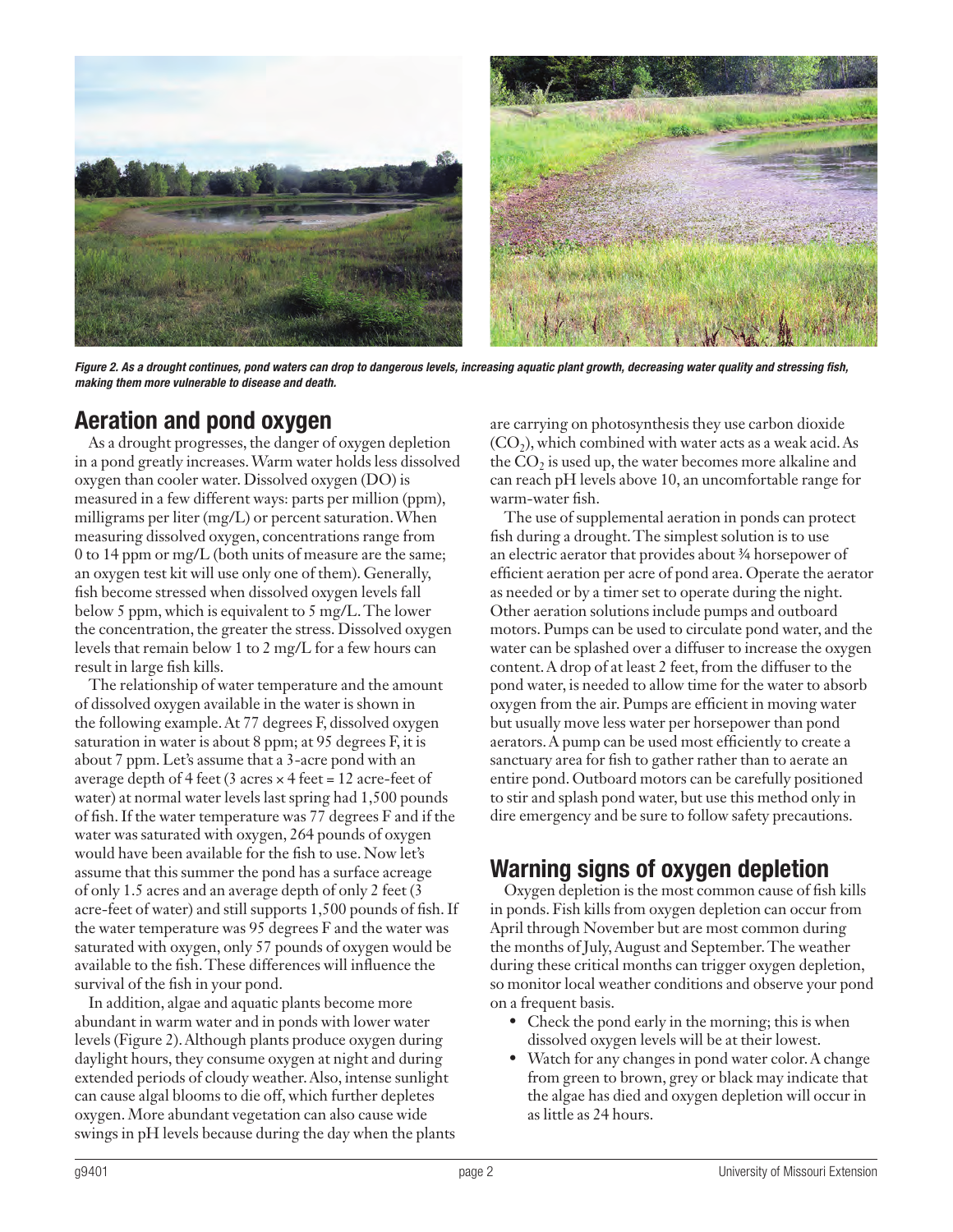

*Figure 2. As a drought continues, pond waters can drop to dangerous levels, increasing aquatic plant growth, decreasing water quality and stressing fish, making them more vulnerable to disease and death.*

#### Aeration and pond oxygen

As a drought progresses, the danger of oxygen depletion in a pond greatly increases. Warm water holds less dissolved oxygen than cooler water. Dissolved oxygen (DO) is measured in a few different ways: parts per million (ppm), milligrams per liter (mg/L) or percent saturation. When measuring dissolved oxygen, concentrations range from 0 to 14 ppm or mg/L (both units of measure are the same; an oxygen test kit will use only one of them). Generally, fish become stressed when dissolved oxygen levels fall below 5 ppm, which is equivalent to 5 mg/L. The lower the concentration, the greater the stress. Dissolved oxygen levels that remain below 1 to 2 mg/L for a few hours can result in large fish kills.

The relationship of water temperature and the amount of dissolved oxygen available in the water is shown in the following example. At 77 degrees F, dissolved oxygen saturation in water is about 8 ppm; at 95 degrees F, it is about 7 ppm. Let's assume that a 3-acre pond with an average depth of 4 feet (3 acres  $\times$  4 feet = 12 acre-feet of water) at normal water levels last spring had 1,500 pounds of fish. If the water temperature was 77 degrees F and if the water was saturated with oxygen, 264 pounds of oxygen would have been available for the fish to use. Now let's assume that this summer the pond has a surface acreage of only 1.5 acres and an average depth of only 2 feet (3 acre-feet of water) and still supports 1,500 pounds of fish. If the water temperature was 95 degrees F and the water was saturated with oxygen, only 57 pounds of oxygen would be available to the fish. These differences will influence the survival of the fish in your pond.

In addition, algae and aquatic plants become more abundant in warm water and in ponds with lower water levels (Figure 2). Although plants produce oxygen during daylight hours, they consume oxygen at night and during extended periods of cloudy weather. Also, intense sunlight can cause algal blooms to die off, which further depletes oxygen. More abundant vegetation can also cause wide swings in pH levels because during the day when the plants are carrying on photosynthesis they use carbon dioxide  $(CO<sub>2</sub>)$ , which combined with water acts as a weak acid. As the  $CO<sub>2</sub>$  is used up, the water becomes more alkaline and can reach pH levels above 10, an uncomfortable range for warm-water fish.

The use of supplemental aeration in ponds can protect fish during a drought. The simplest solution is to use an electric aerator that provides about ¾ horsepower of efficient aeration per acre of pond area. Operate the aerator as needed or by a timer set to operate during the night. Other aeration solutions include pumps and outboard motors. Pumps can be used to circulate pond water, and the water can be splashed over a diffuser to increase the oxygen content. A drop of at least 2 feet, from the diffuser to the pond water, is needed to allow time for the water to absorb oxygen from the air. Pumps are efficient in moving water but usually move less water per horsepower than pond aerators. A pump can be used most efficiently to create a sanctuary area for fish to gather rather than to aerate an entire pond. Outboard motors can be carefully positioned to stir and splash pond water, but use this method only in dire emergency and be sure to follow safety precautions.

## Warning signs of oxygen depletion

Oxygen depletion is the most common cause of fish kills in ponds. Fish kills from oxygen depletion can occur from April through November but are most common during the months of July, August and September. The weather during these critical months can trigger oxygen depletion, so monitor local weather conditions and observe your pond on a frequent basis.

- Check the pond early in the morning; this is when dissolved oxygen levels will be at their lowest.
- Watch for any changes in pond water color. A change from green to brown, grey or black may indicate that the algae has died and oxygen depletion will occur in as little as 24 hours.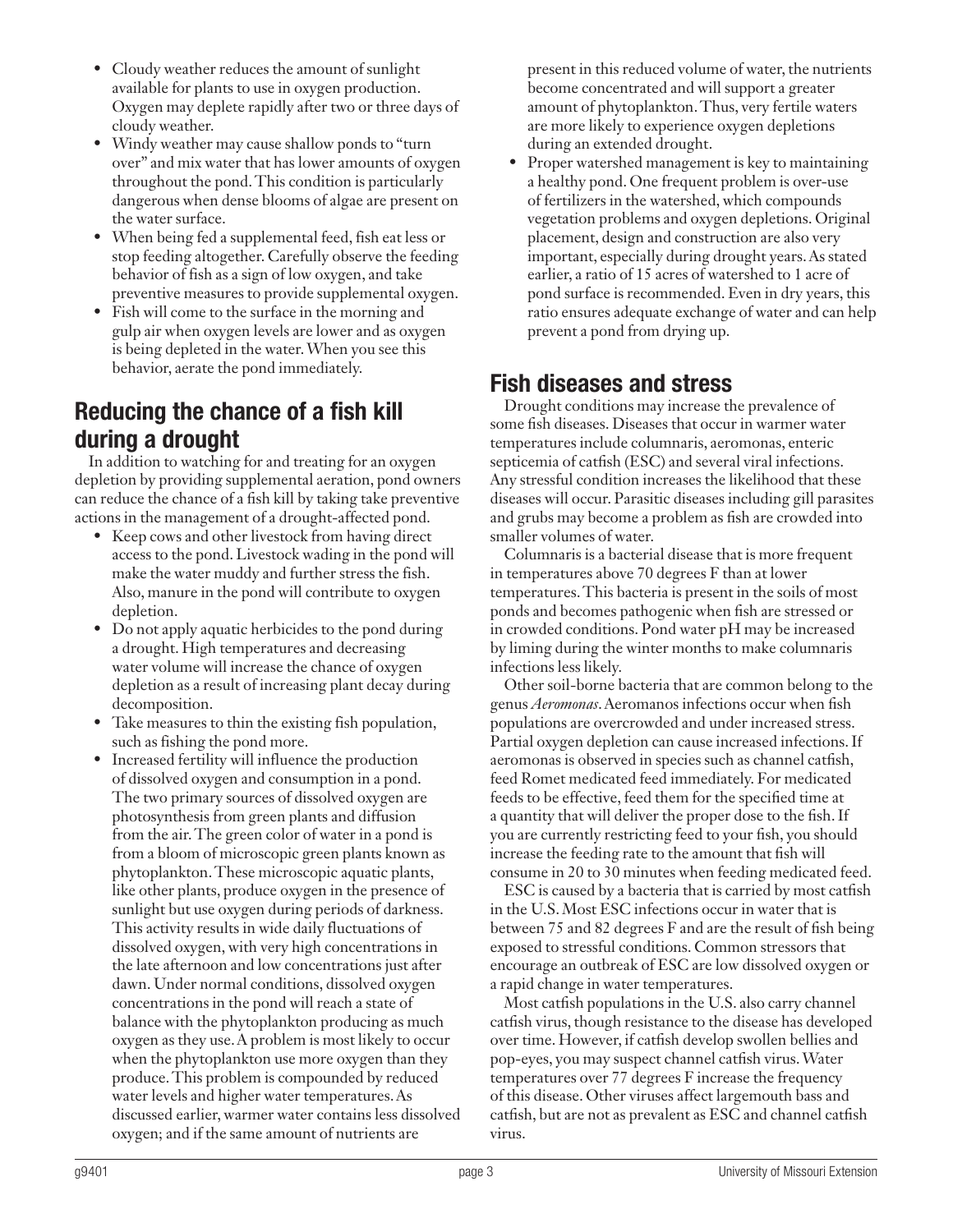- Cloudy weather reduces the amount of sunlight available for plants to use in oxygen production. Oxygen may deplete rapidly after two or three days of cloudy weather.
- Windy weather may cause shallow ponds to "turn over" and mix water that has lower amounts of oxygen throughout the pond. This condition is particularly dangerous when dense blooms of algae are present on the water surface.
- When being fed a supplemental feed, fish eat less or stop feeding altogether. Carefully observe the feeding behavior of fish as a sign of low oxygen, and take preventive measures to provide supplemental oxygen.
- Fish will come to the surface in the morning and gulp air when oxygen levels are lower and as oxygen is being depleted in the water. When you see this behavior, aerate the pond immediately.

#### Reducing the chance of a fish kill during a drought

In addition to watching for and treating for an oxygen depletion by providing supplemental aeration, pond owners can reduce the chance of a fish kill by taking take preventive actions in the management of a drought-affected pond.

- Keep cows and other livestock from having direct access to the pond. Livestock wading in the pond will make the water muddy and further stress the fish. Also, manure in the pond will contribute to oxygen depletion.
- Do not apply aquatic herbicides to the pond during a drought. High temperatures and decreasing water volume will increase the chance of oxygen depletion as a result of increasing plant decay during decomposition.
- Take measures to thin the existing fish population, such as fishing the pond more.
- Increased fertility will influence the production of dissolved oxygen and consumption in a pond. The two primary sources of dissolved oxygen are photosynthesis from green plants and diffusion from the air. The green color of water in a pond is from a bloom of microscopic green plants known as phytoplankton. These microscopic aquatic plants, like other plants, produce oxygen in the presence of sunlight but use oxygen during periods of darkness. This activity results in wide daily fluctuations of dissolved oxygen, with very high concentrations in the late afternoon and low concentrations just after dawn. Under normal conditions, dissolved oxygen concentrations in the pond will reach a state of balance with the phytoplankton producing as much oxygen as they use. A problem is most likely to occur when the phytoplankton use more oxygen than they produce. This problem is compounded by reduced water levels and higher water temperatures. As discussed earlier, warmer water contains less dissolved oxygen; and if the same amount of nutrients are

present in this reduced volume of water, the nutrients become concentrated and will support a greater amount of phytoplankton. Thus, very fertile waters are more likely to experience oxygen depletions during an extended drought.

• Proper watershed management is key to maintaining a healthy pond. One frequent problem is over-use of fertilizers in the watershed, which compounds vegetation problems and oxygen depletions. Original placement, design and construction are also very important, especially during drought years. As stated earlier, a ratio of 15 acres of watershed to 1 acre of pond surface is recommended. Even in dry years, this ratio ensures adequate exchange of water and can help prevent a pond from drying up.

#### Fish diseases and stress

Drought conditions may increase the prevalence of some fish diseases. Diseases that occur in warmer water temperatures include columnaris, aeromonas, enteric septicemia of catfish (ESC) and several viral infections. Any stressful condition increases the likelihood that these diseases will occur. Parasitic diseases including gill parasites and grubs may become a problem as fish are crowded into smaller volumes of water.

Columnaris is a bacterial disease that is more frequent in temperatures above 70 degrees F than at lower temperatures. This bacteria is present in the soils of most ponds and becomes pathogenic when fish are stressed or in crowded conditions. Pond water pH may be increased by liming during the winter months to make columnaris infections less likely.

Other soil-borne bacteria that are common belong to the genus *Aeromonas*. Aeromanos infections occur when fish populations are overcrowded and under increased stress. Partial oxygen depletion can cause increased infections. If aeromonas is observed in species such as channel catfish, feed Romet medicated feed immediately. For medicated feeds to be effective, feed them for the specified time at a quantity that will deliver the proper dose to the fish. If you are currently restricting feed to your fish, you should increase the feeding rate to the amount that fish will consume in 20 to 30 minutes when feeding medicated feed.

ESC is caused by a bacteria that is carried by most catfish in the U.S. Most ESC infections occur in water that is between 75 and 82 degrees F and are the result of fish being exposed to stressful conditions. Common stressors that encourage an outbreak of ESC are low dissolved oxygen or a rapid change in water temperatures.

Most catfish populations in the U.S. also carry channel catfish virus, though resistance to the disease has developed over time. However, if catfish develop swollen bellies and pop-eyes, you may suspect channel catfish virus. Water temperatures over 77 degrees F increase the frequency of this disease. Other viruses affect largemouth bass and catfish, but are not as prevalent as ESC and channel catfish virus.